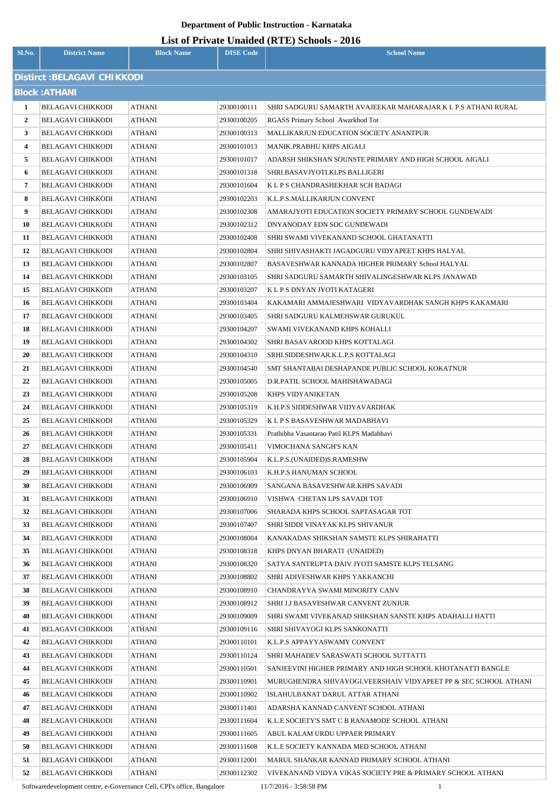# **List of Private Unaided (RTE) Schools - 2016**

| Sl.No.               | <b>District Name</b>                                 | <b>Block Name</b> | <b>DISE Code</b>           | $List$ of Fittate Unatura (KFE) Schools - 2010<br><b>School Name</b>  |  |  |  |
|----------------------|------------------------------------------------------|-------------------|----------------------------|-----------------------------------------------------------------------|--|--|--|
|                      | Distirct : BELAGAVI CHIKKODI                         |                   |                            |                                                                       |  |  |  |
| <b>Block: ATHANI</b> |                                                      |                   |                            |                                                                       |  |  |  |
| 1                    | <b>BELAGAVI CHIKKODI</b>                             | <b>ATHANI</b>     | 29300100111                | SHRI SADGURU SAMARTH AVAJEEKAR MAHARAJAR K L P S ATHANI RURAL         |  |  |  |
| $\overline{2}$       | <b>BELAGAVI CHIKKODI</b>                             | ATHANI            | 29300100205                | RGASS Primary School Awarkhod Tot                                     |  |  |  |
| 3                    | <b>BELAGAVI CHIKKODI</b>                             | <b>ATHANI</b>     | 29300100313                | <b>MALLIKARJUN EDUCATION SOCIETY ANANTPUR</b>                         |  |  |  |
| 4                    | <b>BELAGAVI CHIKKODI</b>                             | ATHANI            | 29300101013                | MANIK.PRABHU KHPS AIGALI                                              |  |  |  |
| 5                    | <b>BELAGAVI CHIKKODI</b>                             | <b>ATHANI</b>     | 29300101017                | ADARSH SHIKSHAN SOUNSTE PRIMARY AND HIGH SCHOOL AIGALI                |  |  |  |
| 6                    | <b>BELAGAVI CHIKKODI</b>                             | ATHANI            | 29300101318                | SHRI.BASAVJYOTI.KLPS BALLIGERI                                        |  |  |  |
| 7                    | <b>BELAGAVI CHIKKODI</b>                             | <b>ATHANI</b>     | 29300101604                | K L P S CHANDRASHEKHAR SCH BADAGI                                     |  |  |  |
| 8                    | <b>BELAGAVI CHIKKODI</b>                             | ATHANI            | 29300102203                | K.L.P.S.MALLIKARJUN CONVENT                                           |  |  |  |
| 9                    | <b>BELAGAVI CHIKKODI</b>                             | <b>ATHANI</b>     | 29300102308                | AMARAJYOTI EDUCATION SOCIETY PRIMARY SCHOOL GUNDEWADI                 |  |  |  |
| 10                   | <b>BELAGAVI CHIKKODI</b>                             | ATHANI            | 29300102312                | DNYANODAY EDN SOC GUNDEWADI                                           |  |  |  |
| 11                   | <b>BELAGAVI CHIKKODI</b>                             | ATHANI            | 29300102408                | SHRI SWAMI VIVEKANAND SCHOOL GHATANATTI                               |  |  |  |
| 12                   | <b>BELAGAVI CHIKKODI</b>                             | ATHANI            | 29300102804                | SHRI SHIVASHAKTI JAGADGURU VIDYAPEET KHPS HALYAL                      |  |  |  |
| 13                   | <b>BELAGAVI CHIKKODI</b>                             | ATHANI            | 29300102807                | BASAVESHWAR KANNADA HIGHER PRIMARY School HALYAL                      |  |  |  |
| 14                   | <b>BELAGAVI CHIKKODI</b>                             | ATHANI            | 29300103105                | SHRI SADGURU SAMARTH SHIVALINGESHWAR KLPS JANAWAD                     |  |  |  |
| 15                   | <b>BELAGAVI CHIKKODI</b>                             | <b>ATHANI</b>     | 29300103207                | K L P S DNYAN JYOTI KATAGERI                                          |  |  |  |
| 16                   | <b>BELAGAVI CHIKKODI</b>                             | ATHANI            | 29300103404                | KAKAMARI AMMAJESHWARI  VIDYAVARDHAK SANGH KHPS KAKAMARI               |  |  |  |
| 17                   | <b>BELAGAVI CHIKKODI</b>                             | <b>ATHANI</b>     | 29300103405                | SHRI SADGURU KALMEHSWAR GURUKUL                                       |  |  |  |
| 18                   | <b>BELAGAVI CHIKKODI</b>                             | ATHANI            | 29300104207                | SWAMI VIVEKANAND KHPS KOHALLI                                         |  |  |  |
| 19                   | <b>BELAGAVI CHIKKODI</b>                             | ATHANI            | 29300104302                | SHRI BASAVAROOD KHPS KOTTALAGI                                        |  |  |  |
| 20                   | <b>BELAGAVI CHIKKODI</b>                             | ATHANI            | 29300104310                | SRHI.SIDDESHWAR.K.L.P.S KOTTALAGI                                     |  |  |  |
| 21                   | <b>BELAGAVI CHIKKODI</b>                             | ATHANI            | 29300104540                | SMT SHANTABAI DESHAPANDE PUBLIC SCHOOL KOKATNUR                       |  |  |  |
| 22                   | <b>BELAGAVI CHIKKODI</b>                             | ATHANI            | 29300105005                | D.R.PATIL SCHOOL MAHISHAWADAGI                                        |  |  |  |
| 23                   | <b>BELAGAVI CHIKKODI</b>                             | ATHANI            | 29300105208                | KHPS VIDYANIKETAN                                                     |  |  |  |
| 24                   | <b>BELAGAVI CHIKKODI</b>                             | ATHANI            | 29300105319                | K.H.P.S SIDDESHWAR VIDYAVARDHAK                                       |  |  |  |
| 25                   | <b>BELAGAVI CHIKKODI</b>                             | ATHANI            | 29300105329                | K L P S BASAVESHWAR MADABHAVI                                         |  |  |  |
| 26                   | <b>BELAGAVI CHIKKODI</b>                             | ATHANI            | 29300105331                | Prathibha Vasantarao Patil KLPS Madabhavi                             |  |  |  |
| 27                   | <b>BELAGAVI CHIKKODI</b>                             | <b>ATHANI</b>     | 29300105411                | VIMOCHANA SANGH'S KAN                                                 |  |  |  |
| 28                   | <b>BELAGAVI CHIKKODI</b>                             | <b>ATHANI</b>     | 29300105904                | K.L.P.S.(UNAIDED)S.RAMESHW                                            |  |  |  |
| 29                   | <b>BELAGAVI CHIKKODI</b>                             | ATHANI            | 29300106103                | K.H.P.S HANUMAN SCHOOL                                                |  |  |  |
| 30                   | <b>BELAGAVI CHIKKODI</b>                             | ATHANI            | 29300106909                | SANGANA BASAVESHWAR.KHPS SAVADI                                       |  |  |  |
| 31                   | <b>BELAGAVI CHIKKODI</b>                             | <b>ATHANI</b>     | 29300106910                | VISHWA CHETAN LPS SAVADI TOT                                          |  |  |  |
| 32                   | <b>BELAGAVI CHIKKODI</b>                             | ATHANI            | 29300107006                | SHARADA KHPS SCHOOL SAPTASAGAR TOT                                    |  |  |  |
| 33                   | <b>BELAGAVI CHIKKODI</b>                             | ATHANI            | 29300107407                | SHRI SIDDI VINAYAK KLPS SHIVANUR                                      |  |  |  |
| 34                   | <b>BELAGAVI CHIKKODI</b>                             | ATHANI            | 29300108004                | KANAKADAS SHIKSHAN SAMSTE KLPS SHIRAHATTI                             |  |  |  |
| 35                   | <b>BELAGAVI CHIKKODI</b>                             | ATHANI            | 29300108318                | KHPS DNYAN BHARATI (UNAIDED)                                          |  |  |  |
| 36                   | <b>BELAGAVI CHIKKODI</b>                             | ATHANI            | 29300108320                | SATYA SANTRUPTA DAIV JYOTI SAMSTE KLPS TELSANG                        |  |  |  |
| 37<br>38             | <b>BELAGAVI CHIKKODI</b>                             | ATHANI            | 29300108802                | SHRI ADIVESHWAR KHPS YAKKANCHI                                        |  |  |  |
| 39                   | <b>BELAGAVI CHIKKODI</b><br><b>BELAGAVI CHIKKODI</b> | ATHANI            | 29300108910                | CHANDRAYYA SWAMI MINORITY CANV<br>SHRI J.J BASAVESHWAR CANVENT ZUNJUR |  |  |  |
| 40                   | <b>BELAGAVI CHIKKODI</b>                             | ATHANI<br>ATHANI  | 29300108912<br>29300109009 | SHRI SWAMI VIVEKANAD SHIKSHAN SANSTE KHPS ADAHALLI HATTI              |  |  |  |
| 41                   | <b>BELAGAVI CHIKKODI</b>                             | ATHANI            | 29300109116                | SHRI SHIVAYOGI KLPS SANKONATTI                                        |  |  |  |
| 42                   | <b>BELAGAVI CHIKKODI</b>                             | ATHANI            | 29300110101                | K.L.P.S APPAYYASWAMY CONVENT                                          |  |  |  |
| 43                   | <b>BELAGAVI CHIKKODI</b>                             | ATHANI            | 29300110124                | SHRI MAHADEV SARASWATI SCHOOL SUTTATTI                                |  |  |  |
| 44                   | <b>BELAGAVI CHIKKODI</b>                             | ATHANI            | 29300110501                | SANJEEVINI HIGHER PRIMARY AND HIGH SCHOOL KHOTANATTI BANGLE           |  |  |  |
| 45                   | <b>BELAGAVI CHIKKODI</b>                             | ATHANI            | 29300110901                | MURUGHENDRA SHIVAYOGI.VEERSHAIV VIDYAPEET PP & SEC SCHOOL ATHANI      |  |  |  |
| 46                   | <b>BELAGAVI CHIKKODI</b>                             | ATHANI            | 29300110902                | ISLAHULBANAT DARUL ATTAR ATHANI                                       |  |  |  |
| 47                   | <b>BELAGAVI CHIKKODI</b>                             | ATHANI            | 29300111401                | ADARSHA KANNAD CANVENT SCHOOL ATHANI                                  |  |  |  |
| 48                   | <b>BELAGAVI CHIKKODI</b>                             | ATHANI            | 29300111604                | K.L.E SOCIETY'S SMT C B RANAMODE SCHOOL ATHANI                        |  |  |  |
| 49                   | <b>BELAGAVI CHIKKODI</b>                             | ATHANI            | 29300111605                | ABUL KALAM URDU UPPAER PRIMARY                                        |  |  |  |
| 50                   | <b>BELAGAVI CHIKKODI</b>                             | ATHANI            | 29300111608                | K.L.E SOCIETY KANNADA MED SCHOOL ATHANI                               |  |  |  |
| 51                   | <b>BELAGAVI CHIKKODI</b>                             | ATHANI            | 29300112001                | MARUL SHANKAR KANNAD PRIMARY SCHOOL ATHANI                            |  |  |  |
| 52                   | <b>BELAGAVI CHIKKODI</b>                             | ATHANI            | 29300112302                | VIVEKANAND VIDYA VIKAS SOCIETY PRE & PRIMARY SCHOOL ATHANI            |  |  |  |

Softwaredevelopment centre, e-Governance Cell, CPI's office, Bangalore 11/7/2016 - 3:58:58 PM 1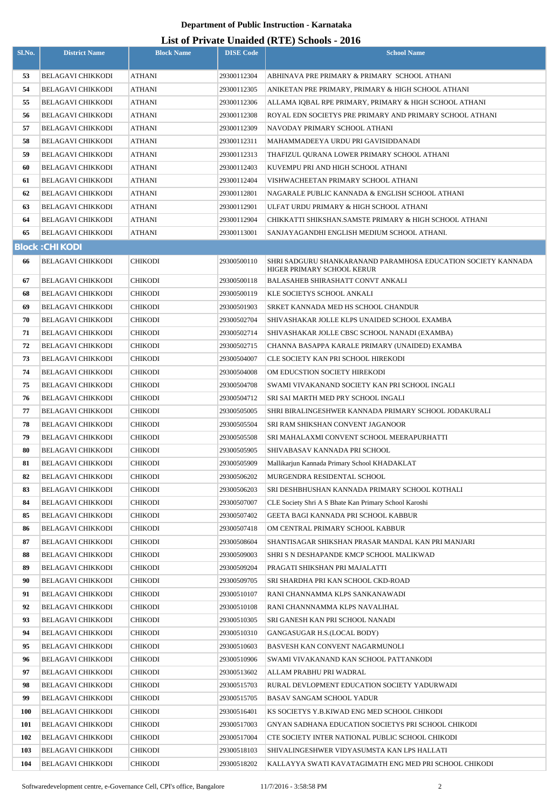| Sl.No. | <b>District Name</b>     | <b>Block Name</b> | <b>DISE Code</b> | $\mathbf{L}_{\text{net}}$ of The act character (KTL) behoofs $\mathbf{F}_{\text{net}}$<br><b>School Name</b> |
|--------|--------------------------|-------------------|------------------|--------------------------------------------------------------------------------------------------------------|
| 53     | <b>BELAGAVI CHIKKODI</b> | ATHANI            | 29300112304      | ABHINAVA PRE PRIMARY & PRIMARY SCHOOL ATHANI                                                                 |
| 54     | <b>BELAGAVI CHIKKODI</b> | ATHANI            | 29300112305      | ANIKETAN PRE PRIMARY, PRIMARY & HIGH SCHOOL ATHANI                                                           |
| 55     | <b>BELAGAVI CHIKKODI</b> | ATHANI            | 29300112306      | ALLAMA IQBAL RPE PRIMARY, PRIMARY & HIGH SCHOOL ATHANI                                                       |
| 56     | <b>BELAGAVI CHIKKODI</b> | ATHANI            | 29300112308      | ROYAL EDN SOCIETYS PRE PRIMARY AND PRIMARY SCHOOL ATHANI                                                     |
| 57     | <b>BELAGAVI CHIKKODI</b> | <b>ATHANI</b>     | 29300112309      | NAVODAY PRIMARY SCHOOL ATHANI                                                                                |
| 58     | <b>BELAGAVI CHIKKODI</b> | ATHANI            | 29300112311      | MAHAMMADEEYA URDU PRI GAVISIDDANADI                                                                          |
| 59     | <b>BELAGAVI CHIKKODI</b> | ATHANI            | 29300112313      | THAFIZUL QURANA LOWER PRIMARY SCHOOL ATHANI                                                                  |
| 60     | <b>BELAGAVI CHIKKODI</b> | <b>ATHANI</b>     | 29300112403      | KUVEMPU PRI AND HIGH SCHOOL ATHANI                                                                           |
| 61     | <b>BELAGAVI CHIKKODI</b> | <b>ATHANI</b>     | 29300112404      | VISHWACHEETAN PRIMARY SCHOOL ATHANI                                                                          |
| 62     | <b>BELAGAVI CHIKKODI</b> | ATHANI            | 29300112801      | NAGARALE PUBLIC KANNADA & ENGLISH SCHOOL ATHANI                                                              |
| 63     | <b>BELAGAVI CHIKKODI</b> | ATHANI            | 29300112901      | ULFAT URDU PRIMARY & HIGH SCHOOL ATHANI                                                                      |
| 64     | BELAGAVI CHIKKODI        | ATHANI            | 29300112904      | CHIKKATTI SHIKSHAN.SAMSTE PRIMARY & HIGH SCHOOL ATHANI                                                       |
| 65     | <b>BELAGAVI CHIKKODI</b> | ATHANI            | 29300113001      | SANJAYAGANDHI ENGLISH MEDIUM SCHOOL ATHANI.                                                                  |
|        | <b>Block: CHIKODI</b>    |                   |                  |                                                                                                              |
| 66     | <b>BELAGAVI CHIKKODI</b> | <b>CHIKODI</b>    | 29300500110      | SHRI SADGURU SHANKARANAND PARAMHOSA EDUCATION SOCIETY KANNADA                                                |
| 67     | <b>BELAGAVI CHIKKODI</b> | <b>CHIKODI</b>    | 29300500118      | HIGER PRIMARY SCHOOL KERUR<br><b>BALASAHEB SHIRASHATT CONVT ANKALI</b>                                       |
| 68     | <b>BELAGAVI CHIKKODI</b> | <b>CHIKODI</b>    | 29300500119      | KLE SOCIETYS SCHOOL ANKALI                                                                                   |
| 69     | <b>BELAGAVI CHIKKODI</b> | CHIKODI           | 29300501903      | SRKET KANNADA MED HS SCHOOL CHANDUR                                                                          |
| 70     | <b>BELAGAVI CHIKKODI</b> | <b>CHIKODI</b>    | 29300502704      | SHIVASHAKAR JOLLE KLPS UNAIDED SCHOOL EXAMBA                                                                 |
| 71     | <b>BELAGAVI CHIKKODI</b> | CHIKODI           | 29300502714      | SHIVASHAKAR JOLLE CBSC SCHOOL NANADI (EXAMBA)                                                                |
| 72     | <b>BELAGAVI CHIKKODI</b> | <b>CHIKODI</b>    | 29300502715      | CHANNA BASAPPA KARALE PRIMARY (UNAIDED) EXAMBA                                                               |
| 73     | <b>BELAGAVI CHIKKODI</b> | CHIKODI           | 29300504007      | CLE SOCIETY KAN PRI SCHOOL HIREKODI                                                                          |
| 74     | <b>BELAGAVI CHIKKODI</b> | <b>CHIKODI</b>    | 29300504008      | OM EDUCSTION SOCIETY HIREKODI                                                                                |
| 75     | <b>BELAGAVI CHIKKODI</b> | CHIKODI           | 29300504708      | SWAMI VIVAKANAND SOCIETY KAN PRI SCHOOL INGALI                                                               |
| 76     | <b>BELAGAVI CHIKKODI</b> | <b>CHIKODI</b>    | 29300504712      | SRI SAI MARTH MED PRY SCHOOL INGALI                                                                          |
| 77     | BELAGAVI CHIKKODI        | CHIKODI           | 29300505005      | SHRI BIRALINGESHWER KANNADA PRIMARY SCHOOL JODAKURALI                                                        |
| 78     | <b>BELAGAVI CHIKKODI</b> | <b>CHIKODI</b>    | 29300505504      | SRI RAM SHIKSHAN CONVENT JAGANOOR                                                                            |
| 79     | <b>BELAGAVI CHIKKODI</b> | <b>CHIKODI</b>    | 29300505508      | SRI MAHALAXMI CONVENT SCHOOL MEERAPURHATTI                                                                   |
| 80     | <b>BELAGAVI CHIKKODI</b> | <b>CHIKODI</b>    | 29300505905      | SHIVABASAV KANNADA PRI SCHOOL                                                                                |
| 81     | <b>BELAGAVI CHIKKODI</b> | <b>CHIKODI</b>    | 29300505909      | Mallikarjun Kannada Primary School KHADAKLAT                                                                 |
| 82     | <b>BELAGAVI CHIKKODI</b> | <b>CHIKODI</b>    | 29300506202      | MURGENDRA RESIDENTAL SCHOOL                                                                                  |
| 83     | <b>BELAGAVI CHIKKODI</b> | CHIKODI           | 29300506203      | SRI DESHBHUSHAN KANNADA PRIMARY SCHOOL KOTHALI                                                               |
| 84     | <b>BELAGAVI CHIKKODI</b> | <b>CHIKODI</b>    | 29300507007      | CLE Society Shri A S Bhate Kan Primary School Karoshi                                                        |
| 85     | <b>BELAGAVI CHIKKODI</b> | <b>CHIKODI</b>    | 29300507402      | GEETA BAGI KANNADA PRI SCHOOL KABBUR                                                                         |
| 86     | <b>BELAGAVI CHIKKODI</b> | <b>CHIKODI</b>    | 29300507418      | OM CENTRAL PRIMARY SCHOOL KABBUR                                                                             |
| 87     | <b>BELAGAVI CHIKKODI</b> | <b>CHIKODI</b>    | 29300508604      | SHANTISAGAR SHIKSHAN PRASAR MANDAL KAN PRI MANJARI                                                           |
| 88     | BELAGAVI CHIKKODI        | <b>CHIKODI</b>    | 29300509003      | SHRI S N DESHAPANDE KMCP SCHOOL MALIKWAD                                                                     |
| 89     | <b>BELAGAVI CHIKKODI</b> | <b>CHIKODI</b>    | 29300509204      | PRAGATI SHIKSHAN PRI MAJALATTI                                                                               |
| 90     | <b>BELAGAVI CHIKKODI</b> | <b>CHIKODI</b>    | 29300509705      | SRI SHARDHA PRI KAN SCHOOL CKD-ROAD                                                                          |
| 91     | <b>BELAGAVI CHIKKODI</b> | CHIKODI           | 29300510107      | RANI CHANNAMMA KLPS SANKANAWADI                                                                              |
| 92     | <b>BELAGAVI CHIKKODI</b> | <b>CHIKODI</b>    | 29300510108      | RANI CHANNNAMMA KLPS NAVALIHAL                                                                               |
| 93     | <b>BELAGAVI CHIKKODI</b> | <b>CHIKODI</b>    | 29300510305      | SRI GANESH KAN PRI SCHOOL NANADI                                                                             |
| 94     | <b>BELAGAVI CHIKKODI</b> | <b>CHIKODI</b>    | 29300510310      | GANGASUGAR H.S.(LOCAL BODY)                                                                                  |
| 95     | <b>BELAGAVI CHIKKODI</b> | <b>CHIKODI</b>    | 29300510603      | BASVESH KAN CONVENT NAGARMUNOLI                                                                              |
| 96     | <b>BELAGAVI CHIKKODI</b> | <b>CHIKODI</b>    | 29300510906      | SWAMI VIVAKANAND KAN SCHOOL PATTANKODI                                                                       |
| 97     | <b>BELAGAVI CHIKKODI</b> | <b>CHIKODI</b>    | 29300513602      | ALLAM PRABHU PRI WADRAL                                                                                      |
| 98     | <b>BELAGAVI CHIKKODI</b> | <b>CHIKODI</b>    | 29300515703      | RURAL DEVLOPMENT EDUCATION SOCIETY YADURWADI                                                                 |
| 99     | <b>BELAGAVI CHIKKODI</b> | <b>CHIKODI</b>    | 29300515705      | BASAV SANGAM SCHOOL YADUR                                                                                    |
| 100    | BELAGAVI CHIKKODI        | <b>CHIKODI</b>    | 29300516401      | KS SOCIETYS Y.B.KIWAD ENG MED SCHOOL CHIKODI                                                                 |
| 101    | <b>BELAGAVI CHIKKODI</b> | <b>CHIKODI</b>    | 29300517003      | GNYAN SADHANA EDUCATION SOCIETYS PRI SCHOOL CHIKODI                                                          |
| 102    | <b>BELAGAVI CHIKKODI</b> | CHIKODI           | 29300517004      | CTE SOCIETY INTER NATIONAL PUBLIC SCHOOL CHIKODI                                                             |
| 103    | <b>BELAGAVI CHIKKODI</b> | <b>CHIKODI</b>    | 29300518103      | SHIVALINGESHWER VIDYASUMSTA KAN LPS HALLATI                                                                  |
| 104    | <b>BELAGAVI CHIKKODI</b> | CHIKODI           | 29300518202      | KALLAYYA SWATI KAVATAGIMATH ENG MED PRI SCHOOL CHIKODI                                                       |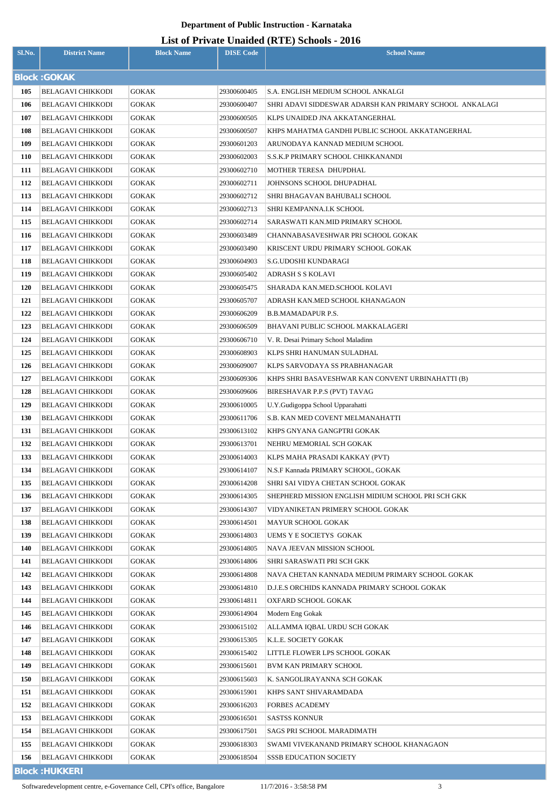## **List of Private Unaided (RTE) Schools - 2016**

| Sl.No.     | <b>District Name</b>                                 | <b>Block Name</b> | <b>DISE Code</b>           | <b>School Name</b>                                      |
|------------|------------------------------------------------------|-------------------|----------------------------|---------------------------------------------------------|
|            | <b>Block: GOKAK</b>                                  |                   |                            |                                                         |
| 105        | <b>BELAGAVI CHIKKODI</b>                             | <b>GOKAK</b>      | 29300600405                | S.A. ENGLISH MEDIUM SCHOOL ANKALGI                      |
| 106        | <b>BELAGAVI CHIKKODI</b>                             | GOKAK             | 29300600407                | SHRI ADAVI SIDDESWAR ADARSH KAN PRIMARY SCHOOL ANKALAGI |
| 107        | <b>BELAGAVI CHIKKODI</b>                             | GOKAK             | 29300600505                | KLPS UNAIDED JNA AKKATANGERHAL                          |
| 108        | <b>BELAGAVI CHIKKODI</b>                             | <b>GOKAK</b>      | 29300600507                | KHPS MAHATMA GANDHI PUBLIC SCHOOL AKKATANGERHAL         |
| 109        | <b>BELAGAVI CHIKKODI</b>                             | <b>GOKAK</b>      | 29300601203                | ARUNODAYA KANNAD MEDIUM SCHOOL                          |
| <b>110</b> | <b>BELAGAVI CHIKKODI</b>                             | GOKAK             | 29300602003                | S.S.K.P PRIMARY SCHOOL CHIKKANANDI                      |
| 111        | <b>BELAGAVI CHIKKODI</b>                             | <b>GOKAK</b>      | 29300602710                | MOTHER TERESA DHUPDHAL                                  |
| 112        | <b>BELAGAVI CHIKKODI</b>                             | <b>GOKAK</b>      | 29300602711                | JOHNSONS SCHOOL DHUPADHAL                               |
| 113        | <b>BELAGAVI CHIKKODI</b>                             | <b>GOKAK</b>      | 29300602712                | SHRI BHAGAVAN BAHUBALI SCHOOL                           |
| 114        | <b>BELAGAVI CHIKKODI</b>                             | GOKAK             | 29300602713                | SHRI KEMPANNA.I.K SCHOOL                                |
| 115        | <b>BELAGAVI CHIKKODI</b>                             | GOKAK             | 29300602714                | SARASWATI KAN.MID PRIMARY SCHOOL                        |
| 116        | <b>BELAGAVI CHIKKODI</b>                             | <b>GOKAK</b>      | 29300603489                | CHANNABASAVESHWAR PRI SCHOOL GOKAK                      |
| 117        | <b>BELAGAVI CHIKKODI</b>                             | <b>GOKAK</b>      | 29300603490                | KRISCENT URDU PRIMARY SCHOOL GOKAK                      |
| 118        | <b>BELAGAVI CHIKKODI</b>                             | GOKAK             | 29300604903                | S.G.UDOSHI KUNDARAGI                                    |
| 119        | <b>BELAGAVI CHIKKODI</b>                             | GOKAK             | 29300605402                | <b>ADRASH S S KOLAVI</b>                                |
| 120        | <b>BELAGAVI CHIKKODI</b>                             | GOKAK             | 29300605475                | SHARADA KAN.MED.SCHOOL KOLAVI                           |
| 121        | <b>BELAGAVI CHIKKODI</b>                             | <b>GOKAK</b>      | 29300605707                | ADRASH KAN.MED SCHOOL KHANAGAON                         |
| 122        | <b>BELAGAVI CHIKKODI</b>                             | GOKAK             | 29300606209                | <b>B.B.MAMADAPUR P.S.</b>                               |
| 123        | <b>BELAGAVI CHIKKODI</b>                             | GOKAK             | 29300606509                | BHAVANI PUBLIC SCHOOL MAKKALAGERI                       |
| 124        | <b>BELAGAVI CHIKKODI</b>                             | GOKAK             | 29300606710                | V. R. Desai Primary School Maladinn                     |
| 125        | <b>BELAGAVI CHIKKODI</b>                             | <b>GOKAK</b>      | 29300608903                | KLPS SHRI HANUMAN SULADHAL                              |
| 126        | <b>BELAGAVI CHIKKODI</b>                             | GOKAK             | 29300609007                | KLPS SARVODAYA SS PRABHANAGAR                           |
| 127        | <b>BELAGAVI CHIKKODI</b>                             | GOKAK             | 29300609306                | KHPS SHRI BASAVESHWAR KAN CONVENT URBINAHATTI (B)       |
| 128        | <b>BELAGAVI CHIKKODI</b>                             | GOKAK             | 29300609606                | BIRESHAVAR P.P.S (PVT) TAVAG                            |
| 129        | BELAGAVI CHIKKODI                                    | <b>GOKAK</b>      | 29300610005                | U.Y.Gudigoppa School Upparahatti                        |
| 130        | <b>BELAGAVI CHIKKODI</b>                             | GOKAK             | 29300611706                | S.B. KAN MED COVENT MELMANAHATTI                        |
| 131        | BELAGAVI CHIKKODI                                    | <b>GOKAK</b>      | 29300613102                | KHPS GNYANA GANGPTRI GOKAK                              |
| 132        | BELAGAVI CHIKKODI                                    | GOKAK             | 29300613701                | NEHRU MEMORIAL SCH GOKAK                                |
| 133        | <b>BELAGAVI CHIKKODI</b>                             | <b>GOKAK</b>      | 29300614003                | KLPS MAHA PRASADI KAKKAY (PVT)                          |
| 134        | BELAGAVI CHIKKODI                                    | <b>GOKAK</b>      | 29300614107                | N.S.F Kannada PRIMARY SCHOOL, GOKAK                     |
| 135        | <b>BELAGAVI CHIKKODI</b>                             | <b>GOKAK</b>      | 29300614208                | SHRI SAI VIDYA CHETAN SCHOOL GOKAK                      |
| 136        | BELAGAVI CHIKKODI                                    | <b>GOKAK</b>      | 29300614305                | SHEPHERD MISSION ENGLISH MIDIUM SCHOOL PRI SCH GKK      |
| 137        | BELAGAVI CHIKKODI                                    | GOKAK             | 29300614307                | VIDYANIKETAN PRIMERY SCHOOL GOKAK                       |
| 138        | BELAGAVI CHIKKODI                                    | GOKAK             | 29300614501                | MAYUR SCHOOL GOKAK                                      |
| 139        | BELAGAVI CHIKKODI                                    | GOKAK             | 29300614803                | <b>UEMS Y E SOCIETYS GOKAK</b>                          |
| 140        | <b>BELAGAVI CHIKKODI</b>                             | GOKAK             | 29300614805                | NAVA JEEVAN MISSION SCHOOL                              |
| 141        | <b>BELAGAVI CHIKKODI</b>                             | GOKAK             | 29300614806                | SHRI SARASWATI PRI SCH GKK                              |
| 142        | <b>BELAGAVI CHIKKODI</b>                             | GOKAK             | 29300614808                | NAVA CHETAN KANNADA MEDIUM PRIMARY SCHOOL GOKAK         |
| 143<br>144 | <b>BELAGAVI CHIKKODI</b><br><b>BELAGAVI CHIKKODI</b> | GOKAK             | 29300614810                | D.J.E.S ORCHIDS KANNADA PRIMARY SCHOOL GOKAK            |
| 145        | <b>BELAGAVI CHIKKODI</b>                             | GOKAK<br>GOKAK    | 29300614811<br>29300614904 | OXFARD SCHOOL GOKAK<br>Modern Eng Gokak                 |
| 146        | <b>BELAGAVI CHIKKODI</b>                             | GOKAK             | 29300615102                | ALLAMMA IQBAL URDU SCH GOKAK                            |
| 147        | <b>BELAGAVI CHIKKODI</b>                             | GOKAK             | 29300615305                | K.L.E. SOCIETY GOKAK                                    |
| 148        | <b>BELAGAVI CHIKKODI</b>                             | GOKAK             | 29300615402                | LITTLE FLOWER LPS SCHOOL GOKAK                          |
| 149        | <b>BELAGAVI CHIKKODI</b>                             | GOKAK             | 29300615601                | <b>BVM KAN PRIMARY SCHOOL</b>                           |
| <b>150</b> | BELAGAVI CHIKKODI                                    | GOKAK             | 29300615603                | K. SANGOLIRAYANNA SCH GOKAK                             |
| 151        | BELAGAVI CHIKKODI                                    | GOKAK             | 29300615901                | KHPS SANT SHIVARAMDADA                                  |
| 152        | <b>BELAGAVI CHIKKODI</b>                             | GOKAK             | 29300616203                | <b>FORBES ACADEMY</b>                                   |
| 153        | <b>BELAGAVI CHIKKODI</b>                             | GOKAK             | 29300616501                | <b>SASTSS KONNUR</b>                                    |
| 154        | BELAGAVI CHIKKODI                                    | GOKAK             | 29300617501                | SAGS PRI SCHOOL MARADIMATH                              |
| 155        | BELAGAVI CHIKKODI                                    | GOKAK             | 29300618303                | SWAMI VIVEKANAND PRIMARY SCHOOL KHANAGAON               |
| 156        | <b>BELAGAVI CHIKKODI</b>                             | GOKAK             | 29300618504                | <b>SSSB EDUCATION SOCIETY</b>                           |
|            | <b>Block: HUKKERI</b>                                |                   |                            |                                                         |

Softwaredevelopment centre, e-Governance Cell, CPI's office, Bangalore 11/7/2016 - 3:58:58 PM 3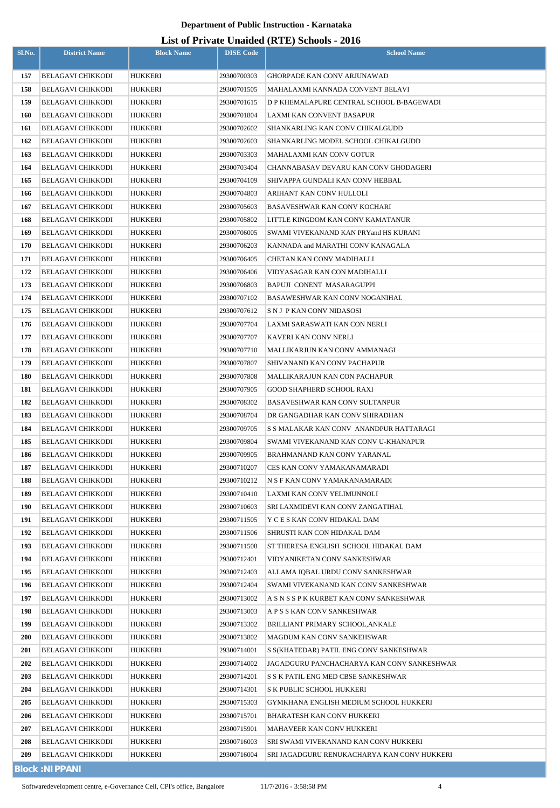| Sl.No.     | <b>District Name</b>                          | <b>Block Name</b>         | <b>DISE Code</b>           | <b>School Name</b>                                             |
|------------|-----------------------------------------------|---------------------------|----------------------------|----------------------------------------------------------------|
|            | <b>BELAGAVI CHIKKODI</b>                      | <b>HUKKERI</b>            | 29300700303                | <b>GHORPADE KAN CONV ARJUNAWAD</b>                             |
| 157<br>158 | <b>BELAGAVI CHIKKODI</b>                      | HUKKERI                   | 29300701505                | MAHALAXMI KANNADA CONVENT BELAVI                               |
| 159        | <b>BELAGAVI CHIKKODI</b>                      | HUKKERI                   | 29300701615                | D P KHEMALAPURE CENTRAL SCHOOL B-BAGEWADI                      |
| 160        | <b>BELAGAVI CHIKKODI</b>                      | HUKKERI                   | 29300701804                | LAXMI KAN CONVENT BASAPUR                                      |
| 161        | <b>BELAGAVI CHIKKODI</b>                      | HUKKERI                   | 29300702602                | SHANKARLING KAN CONV CHIKALGUDD                                |
| 162        | <b>BELAGAVI CHIKKODI</b>                      | HUKKERI                   | 29300702603                | SHANKARLING MODEL SCHOOL CHIKALGUDD                            |
| 163        | <b>BELAGAVI CHIKKODI</b>                      | <b>HUKKERI</b>            | 29300703303                | MAHALAXMI KAN CONV GOTUR                                       |
| 164        | <b>BELAGAVI CHIKKODI</b>                      | HUKKERI                   | 29300703404                | CHANNABASAV DEVARU KAN CONV GHODAGERI                          |
| 165        | <b>BELAGAVI CHIKKODI</b>                      | HUKKERI                   | 29300704109                | SHIVAPPA GUNDALI KAN CONV HEBBAL                               |
| 166        | <b>BELAGAVI CHIKKODI</b>                      | HUKKERI                   | 29300704803                | ARIHANT KAN CONV HULLOLI                                       |
| 167        | <b>BELAGAVI CHIKKODI</b>                      | HUKKERI                   | 29300705603                | BASAVESHWAR KAN CONV KOCHARI                                   |
| 168        | <b>BELAGAVI CHIKKODI</b>                      | HUKKERI                   | 29300705802                | LITTLE KINGDOM KAN CONV KAMATANUR                              |
| 169        | <b>BELAGAVI CHIKKODI</b>                      | <b>HUKKERI</b>            | 29300706005                | SWAMI VIVEKANAND KAN PRYand HS KURANI                          |
| 170        | <b>BELAGAVI CHIKKODI</b>                      | <b>HUKKERI</b>            | 29300706203                | KANNADA and MARATHI CONV KANAGALA                              |
| 171        | <b>BELAGAVI CHIKKODI</b>                      | <b>HUKKERI</b>            | 29300706405                | CHETAN KAN CONV MADIHALLI                                      |
| 172        | <b>BELAGAVI CHIKKODI</b>                      | HUKKERI                   | 29300706406                | VIDYASAGAR KAN CON MADIHALLI                                   |
| 173        | <b>BELAGAVI CHIKKODI</b>                      | HUKKERI                   | 29300706803                | BAPUJI CONENT MASARAGUPPI                                      |
| 174        | <b>BELAGAVI CHIKKODI</b>                      | HUKKERI                   | 29300707102                | BASAWESHWAR KAN CONV NOGANIHAL                                 |
| 175        | <b>BELAGAVI CHIKKODI</b>                      | HUKKERI                   | 29300707612                | S N J P KAN CONV NIDASOSI                                      |
| 176        | <b>BELAGAVI CHIKKODI</b>                      | HUKKERI                   | 29300707704                | LAXMI SARASWATI KAN CON NERLI                                  |
| 177        | <b>BELAGAVI CHIKKODI</b>                      | HUKKERI                   | 29300707707                | KAVERI KAN CONV NERLI                                          |
| 178        | <b>BELAGAVI CHIKKODI</b>                      | HUKKERI                   | 29300707710                | MALLIKARJUN KAN CONV AMMANAGI                                  |
| 179        | <b>BELAGAVI CHIKKODI</b>                      | HUKKERI                   | 29300707807                | SHIVANAND KAN CONV PACHAPUR                                    |
| 180        | <b>BELAGAVI CHIKKODI</b>                      | HUKKERI                   | 29300707808                | MALLIKARAJUN KAN CON PACHAPUR                                  |
| 181        | <b>BELAGAVI CHIKKODI</b>                      | HUKKERI                   | 29300707905                | <b>GOOD SHAPHERD SCHOOL RAXI</b>                               |
| 182        | <b>BELAGAVI CHIKKODI</b>                      | HUKKERI                   | 29300708302                | BASAVESHWAR KAN CONV SULTANPUR                                 |
| 183        | <b>BELAGAVI CHIKKODI</b>                      | <b>HUKKERI</b>            | 29300708704                | DR GANGADHAR KAN CONV SHIRADHAN                                |
| 184        | <b>BELAGAVI CHIKKODI</b>                      | HUKKERI                   | 29300709705                | S S MALAKAR KAN CONV ANANDPUR HATTARAGI                        |
| 185        | <b>BELAGAVI CHIKKODI</b>                      | HUKKERI                   | 29300709804                | SWAMI VIVEKANAND KAN CONV U-KHANAPUR                           |
| 186        | <b>BELAGAVI CHIKKODI</b>                      | HUKKERI                   | 29300709905                | BRAHMANAND KAN CONV YARANAL                                    |
| 187        | <b>BELAGAVI CHIKKODI</b>                      | HUKKERI                   | 29300710207                | CES KAN CONV YAMAKANAMARADI                                    |
| 188        | <b>BELAGAVI CHIKKODI</b>                      | HUKKERI                   | 29300710212                | N S F KAN CONV YAMAKANAMARADI                                  |
| 189        | <b>BELAGAVI CHIKKODI</b>                      | <b>HUKKERI</b>            | 29300710410                | LAXMI KAN CONV YELIMUNNOLI                                     |
| 190        | BELAGAVI CHIKKODI                             | HUKKERI                   | 29300710603                | SRI LAXMIDEVI KAN CONV ZANGATIHAL                              |
| 191        | BELAGAVI CHIKKODI                             | <b>HUKKERI</b>            | 29300711505                | Y C E S KAN CONV HIDAKAL DAM                                   |
| 192        | <b>BELAGAVI CHIKKODI</b>                      | HUKKERI                   | 29300711506                | SHRUSTI KAN CON HIDAKAL DAM                                    |
| 193        | <b>BELAGAVI CHIKKODI</b>                      | <b>HUKKERI</b>            | 29300711508                | ST THERESA ENGLISH SCHOOL HIDAKAL DAM                          |
| 194        | <b>BELAGAVI CHIKKODI</b>                      | <b>HUKKERI</b>            | 29300712401                | VIDYANIKETAN CONV SANKESHWAR                                   |
| 195        | <b>BELAGAVI CHIKKODI</b>                      | HUKKERI                   | 29300712403                | ALLAMA IQBAL URDU CONV SANKESHWAR                              |
| 196        | <b>BELAGAVI CHIKKODI</b>                      | HUKKERI                   | 29300712404                | SWAMI VIVEKANAND KAN CONV SANKESHWAR                           |
| 197        | <b>BELAGAVI CHIKKODI</b>                      | HUKKERI                   | 29300713002                | A S N S S P K KURBET KAN CONV SANKESHWAR                       |
| 198<br>199 | <b>BELAGAVI CHIKKODI</b>                      | HUKKERI                   | 29300713003<br>29300713302 | A P S S KAN CONV SANKESHWAR                                    |
| <b>200</b> | <b>BELAGAVI CHIKKODI</b><br>BELAGAVI CHIKKODI | HUKKERI<br>HUKKERI        | 29300713802                | BRILLIANT PRIMARY SCHOOL, ANKALE<br>MAGDUM KAN CONV SANKEHSWAR |
| 201        | <b>BELAGAVI CHIKKODI</b>                      |                           | 29300714001                | S S(KHATEDAR) PATIL ENG CONV SANKESHWAR                        |
| 202        | <b>BELAGAVI CHIKKODI</b>                      | HUKKERI<br><b>HUKKERI</b> | 29300714002                | JAGADGURU PANCHACHARYA KAN CONV SANKESHWAR                     |
| 203        | BELAGAVI CHIKKODI                             | HUKKERI                   | 29300714201                | S S K PATIL ENG MED CBSE SANKESHWAR                            |
| 204        | <b>BELAGAVI CHIKKODI</b>                      | HUKKERI                   | 29300714301                | S K PUBLIC SCHOOL HUKKERI                                      |
| 205        | <b>BELAGAVI CHIKKODI</b>                      | HUKKERI                   | 29300715303                | GYMKHANA ENGLISH MEDIUM SCHOOL HUKKERI                         |
| 206        | <b>BELAGAVI CHIKKODI</b>                      | <b>HUKKERI</b>            | 29300715701                | BHARATESH KAN CONV HUKKERI                                     |
| 207        | <b>BELAGAVI CHIKKODI</b>                      | <b>HUKKERI</b>            | 29300715901                | MAHAVEER KAN CONV HUKKERI                                      |
| 208        | <b>BELAGAVI CHIKKODI</b>                      | HUKKERI                   | 29300716003                | SRI SWAMI VIVEKANAND KAN CONV HUKKERI                          |
| 209        | <b>BELAGAVI CHIKKODI</b>                      | HUKKERI                   | 29300716004                | SRI JAGADGURU RENUKACHARYA KAN CONV HUKKERI                    |
|            | <b>Block: NIPPANI</b>                         |                           |                            |                                                                |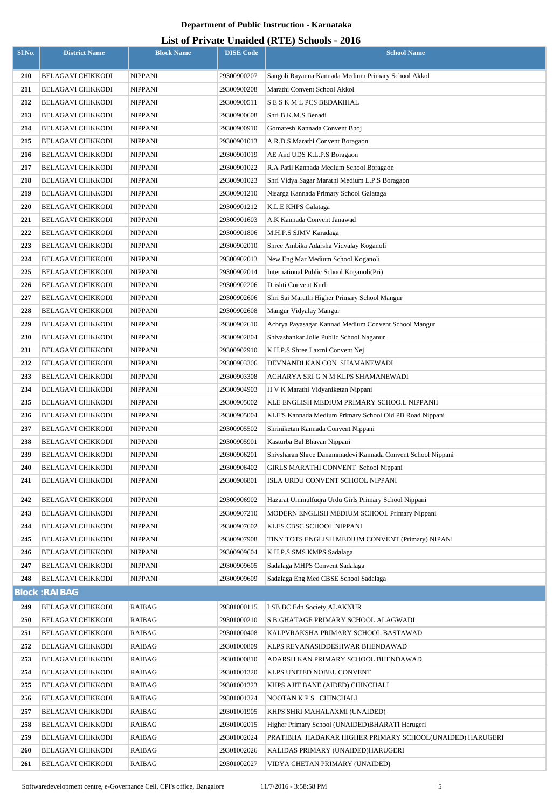| Sl.No. | <b>District Name</b>     | <b>Block Name</b> | <b>DISE Code</b> | <b>School Name</b>                                          |
|--------|--------------------------|-------------------|------------------|-------------------------------------------------------------|
| 210    | <b>BELAGAVI CHIKKODI</b> | <b>NIPPANI</b>    | 29300900207      | Sangoli Rayanna Kannada Medium Primary School Akkol         |
| 211    | <b>BELAGAVI CHIKKODI</b> | <b>NIPPANI</b>    | 29300900208      | Marathi Convent School Akkol                                |
| 212    | <b>BELAGAVI CHIKKODI</b> | <b>NIPPANI</b>    | 29300900511      | S E S K M L PCS BEDAKIHAL                                   |
| 213    | <b>BELAGAVI CHIKKODI</b> | <b>NIPPANI</b>    | 29300900608      | Shri B.K.M.S Benadi                                         |
| 214    | <b>BELAGAVI CHIKKODI</b> | <b>NIPPANI</b>    | 29300900910      | Gomatesh Kannada Convent Bhoj                               |
| 215    | <b>BELAGAVI CHIKKODI</b> | <b>NIPPANI</b>    | 29300901013      | A.R.D.S Marathi Convent Boragaon                            |
| 216    | <b>BELAGAVI CHIKKODI</b> | <b>NIPPANI</b>    | 29300901019      | AE And UDS K.L.P.S Boragaon                                 |
| 217    | <b>BELAGAVI CHIKKODI</b> | <b>NIPPANI</b>    | 29300901022      | R.A Patil Kannada Medium School Boragaon                    |
| 218    | <b>BELAGAVI CHIKKODI</b> | <b>NIPPANI</b>    | 29300901023      | Shri Vidya Sagar Marathi Medium L.P.S Boragaon              |
| 219    | <b>BELAGAVI CHIKKODI</b> | <b>NIPPANI</b>    | 29300901210      | Nisarga Kannada Primary School Galataga                     |
| 220    | <b>BELAGAVI CHIKKODI</b> | <b>NIPPANI</b>    | 29300901212      | K.L.E KHPS Galataga                                         |
| 221    | <b>BELAGAVI CHIKKODI</b> | <b>NIPPANI</b>    | 29300901603      | A.K Kannada Convent Janawad                                 |
| 222    | <b>BELAGAVI CHIKKODI</b> | <b>NIPPANI</b>    | 29300901806      | M.H.P.S SJMV Karadaga                                       |
| 223    | <b>BELAGAVI CHIKKODI</b> | <b>NIPPANI</b>    | 29300902010      | Shree Ambika Adarsha Vidyalay Koganoli                      |
| 224    | <b>BELAGAVI CHIKKODI</b> | <b>NIPPANI</b>    | 29300902013      | New Eng Mar Medium School Koganoli                          |
| 225    | <b>BELAGAVI CHIKKODI</b> | <b>NIPPANI</b>    | 29300902014      | International Public School Koganoli(Pri)                   |
| 226    | <b>BELAGAVI CHIKKODI</b> | <b>NIPPANI</b>    | 29300902206      | Drishti Convent Kurli                                       |
| 227    | <b>BELAGAVI CHIKKODI</b> | <b>NIPPANI</b>    | 29300902606      | Shri Sai Marathi Higher Primary School Mangur               |
| 228    | <b>BELAGAVI CHIKKODI</b> | <b>NIPPANI</b>    | 29300902608      | Mangur Vidyalay Mangur                                      |
| 229    | BELAGAVI CHIKKODI        | <b>NIPPANI</b>    | 29300902610      | Achrya Payasagar Kannad Medium Convent School Mangur        |
| 230    | <b>BELAGAVI CHIKKODI</b> | <b>NIPPANI</b>    | 29300902804      | Shivashankar Jolle Public School Naganur                    |
| 231    | <b>BELAGAVI CHIKKODI</b> | <b>NIPPANI</b>    | 29300902910      | K.H.P.S Shree Laxmi Convent Nej                             |
| 232    | <b>BELAGAVI CHIKKODI</b> | <b>NIPPANI</b>    | 29300903306      | DEVNANDI KAN CON SHAMANEWADI                                |
| 233    | <b>BELAGAVI CHIKKODI</b> | <b>NIPPANI</b>    | 29300903308      | ACHARYA SRI G N M KLPS SHAMANEWADI                          |
| 234    | <b>BELAGAVI CHIKKODI</b> | <b>NIPPANI</b>    | 29300904903      | H V K Marathi Vidyaniketan Nippani                          |
| 235    | <b>BELAGAVI CHIKKODI</b> | <b>NIPPANI</b>    | 29300905002      | KLE ENGLISH MEDIUM PRIMARY SCHOO.L NIPPANII                 |
| 236    | <b>BELAGAVI CHIKKODI</b> | <b>NIPPANI</b>    | 29300905004      | KLE'S Kannada Medium Primary School Old PB Road Nippani     |
| 237    | <b>BELAGAVI CHIKKODI</b> | <b>NIPPANI</b>    | 29300905502      | Shriniketan Kannada Convent Nippani                         |
| 238    | <b>BELAGAVI CHIKKODI</b> | <b>NIPPANI</b>    | 29300905901      | Kasturba Bal Bhavan Nippani                                 |
| 239    | <b>BELAGAVI CHIKKODI</b> | <b>NIPPANI</b>    | 29300906201      | Shivsharan Shree Danammadevi Kannada Convent School Nippani |
| 240    | <b>BELAGAVI CHIKKODI</b> | <b>NIPPANI</b>    | 29300906402      | GIRLS MARATHI CONVENT School Nippani                        |
| 241    | <b>BELAGAVI CHIKKODI</b> | <b>NIPPANI</b>    | 29300906801      | ISLA URDU CONVENT SCHOOL NIPPANI                            |
| 242    | BELAGAVI CHIKKODI        | <b>NIPPANI</b>    | 29300906902      | Hazarat Ummulfuqra Urdu Girls Primary School Nippani        |
| 243    | BELAGAVI CHIKKODI        | <b>NIPPANI</b>    | 29300907210      | MODERN ENGLISH MEDIUM SCHOOL Primary Nippani                |
| 244    | <b>BELAGAVI CHIKKODI</b> | <b>NIPPANI</b>    | 29300907602      | KLES CBSC SCHOOL NIPPANI                                    |
| 245    | <b>BELAGAVI CHIKKODI</b> | <b>NIPPANI</b>    | 29300907908      | TINY TOTS ENGLISH MEDIUM CONVENT (Primary) NIPANI           |
| 246    | <b>BELAGAVI CHIKKODI</b> | <b>NIPPANI</b>    | 29300909604      | K.H.P.S SMS KMPS Sadalaga                                   |
| 247    | <b>BELAGAVI CHIKKODI</b> | <b>NIPPANI</b>    | 29300909605      | Sadalaga MHPS Convent Sadalaga                              |
| 248    | <b>BELAGAVI CHIKKODI</b> | <b>NIPPANI</b>    | 29300909609      | Sadalaga Eng Med CBSE School Sadalaga                       |
|        | <b>Block: RAIBAG</b>     |                   |                  |                                                             |
| 249    | <b>BELAGAVI CHIKKODI</b> | <b>RAIBAG</b>     | 29301000115      | LSB BC Edn Society ALAKNUR                                  |
| 250    | <b>BELAGAVI CHIKKODI</b> | RAIBAG            | 29301000210      | S B GHATAGE PRIMARY SCHOOL ALAGWADI                         |
| 251    | <b>BELAGAVI CHIKKODI</b> | RAIBAG            | 29301000408      | KALPVRAKSHA PRIMARY SCHOOL BASTAWAD                         |
| 252    | <b>BELAGAVI CHIKKODI</b> | RAIBAG            | 29301000809      | KLPS REVANASIDDESHWAR BHENDAWAD                             |
| 253    | <b>BELAGAVI CHIKKODI</b> | <b>RAIBAG</b>     | 29301000810      | ADARSH KAN PRIMARY SCHOOL BHENDAWAD                         |
| 254    | <b>BELAGAVI CHIKKODI</b> | RAIBAG            | 29301001320      | KLPS UNITED NOBEL CONVENT                                   |
| 255    | <b>BELAGAVI CHIKKODI</b> | RAIBAG            | 29301001323      | KHPS AJIT BANE (AIDED) CHINCHALI                            |
| 256    | <b>BELAGAVI CHIKKODI</b> | RAIBAG            | 29301001324      | NOOTAN KPS CHINCHALI                                        |
| 257    | <b>BELAGAVI CHIKKODI</b> | RAIBAG            | 29301001905      | KHPS SHRI MAHALAXMI (UNAIDED)                               |
| 258    | <b>BELAGAVI CHIKKODI</b> | <b>RAIBAG</b>     | 29301002015      | Higher Primary School (UNAIDED)BHARATI Harugeri             |
| 259    | <b>BELAGAVI CHIKKODI</b> | RAIBAG            | 29301002024      | PRATIBHA HADAKAR HIGHER PRIMARY SCHOOL(UNAIDED) HARUGERI    |
| 260    | <b>BELAGAVI CHIKKODI</b> | RAIBAG            | 29301002026      | KALIDAS PRIMARY (UNAIDED)HARUGERI                           |
| 261    | <b>BELAGAVI CHIKKODI</b> | RAIBAG            | 29301002027      | VIDYA CHETAN PRIMARY (UNAIDED)                              |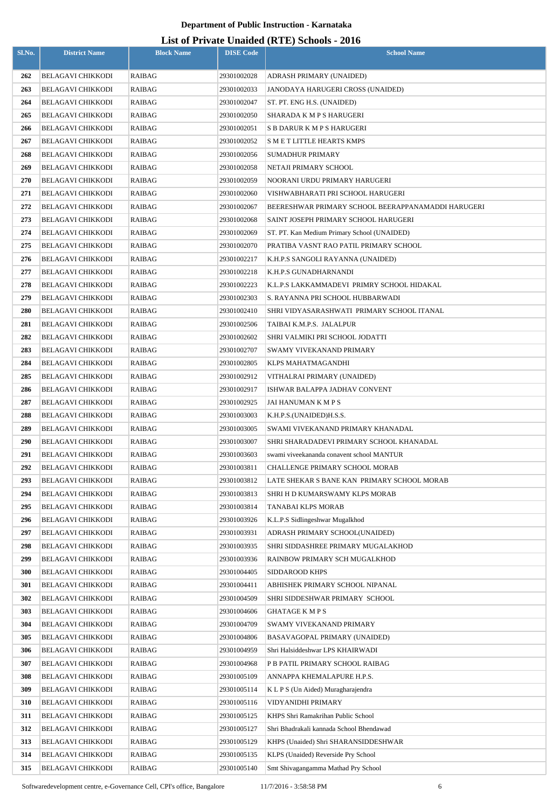| Sl.No.     | <b>District Name</b>                                 | <b>Block Name</b> | <b>DISE Code</b>           | $List$ of Trivally Unatural (IVTE) behoods - 2010<br><b>School Name</b>          |
|------------|------------------------------------------------------|-------------------|----------------------------|----------------------------------------------------------------------------------|
|            |                                                      |                   |                            |                                                                                  |
| 262        | <b>BELAGAVI CHIKKODI</b>                             | <b>RAIBAG</b>     | 29301002028                | ADRASH PRIMARY (UNAIDED)                                                         |
| 263        | <b>BELAGAVI CHIKKODI</b>                             | <b>RAIBAG</b>     | 29301002033                | JANODAYA HARUGERI CROSS (UNAIDED)                                                |
| 264        | <b>BELAGAVI CHIKKODI</b>                             | <b>RAIBAG</b>     | 29301002047                | ST. PT. ENG H.S. (UNAIDED)                                                       |
| 265        | <b>BELAGAVI CHIKKODI</b>                             | RAIBAG            | 29301002050                | SHARADA K M P S HARUGERI                                                         |
| 266        | <b>BELAGAVI CHIKKODI</b>                             | <b>RAIBAG</b>     | 29301002051                | S B DARUR K M P S HARUGERI                                                       |
| 267        | <b>BELAGAVI CHIKKODI</b>                             | RAIBAG            | 29301002052                | S M E T LITTLE HEARTS KMPS                                                       |
| 268        | <b>BELAGAVI CHIKKODI</b>                             | RAIBAG            | 29301002056                | <b>SUMADHUR PRIMARY</b>                                                          |
| 269        | <b>BELAGAVI CHIKKODI</b>                             | RAIBAG            | 29301002058                | NETAJI PRIMARY SCHOOL                                                            |
| 270        | <b>BELAGAVI CHIKKODI</b>                             | RAIBAG            | 29301002059                | NOORANI URDU PRIMARY HARUGERI                                                    |
| 271        | <b>BELAGAVI CHIKKODI</b>                             | RAIBAG            | 29301002060                | VISHWABHARATI PRI SCHOOL HARUGERI                                                |
| 272        | <b>BELAGAVI CHIKKODI</b>                             | RAIBAG            | 29301002067                | BEERESHWAR PRIMARY SCHOOL BEERAPPANAMADDI HARUGERI                               |
| 273        | <b>BELAGAVI CHIKKODI</b>                             | RAIBAG            | 29301002068                | SAINT JOSEPH PRIMARY SCHOOL HARUGERI                                             |
| 274        | <b>BELAGAVI CHIKKODI</b>                             | RAIBAG            | 29301002069                | ST. PT. Kan Medium Primary School (UNAIDED)                                      |
| 275        | <b>BELAGAVI CHIKKODI</b>                             | RAIBAG            | 29301002070                | PRATIBA VASNT RAO PATIL PRIMARY SCHOOL                                           |
| 276<br>277 | <b>BELAGAVI CHIKKODI</b>                             | RAIBAG            | 29301002217                | K.H.P.S SANGOLI RAYANNA (UNAIDED)<br>K.H.P.S GUNADHARNANDI                       |
| 278        | <b>BELAGAVI CHIKKODI</b><br><b>BELAGAVI CHIKKODI</b> | RAIBAG<br>RAIBAG  | 29301002218<br>29301002223 | K.L.P.S LAKKAMMADEVI PRIMRY SCHOOL HIDAKAL                                       |
| 279        | <b>BELAGAVI CHIKKODI</b>                             | RAIBAG            | 29301002303                | S. RAYANNA PRI SCHOOL HUBBARWADI                                                 |
| 280        | <b>BELAGAVI CHIKKODI</b>                             | RAIBAG            | 29301002410                | SHRI VIDYASARASHWATI PRIMARY SCHOOL ITANAL                                       |
| 281        | <b>BELAGAVI CHIKKODI</b>                             | RAIBAG            | 29301002506                | TAIBAI K.M.P.S. JALALPUR                                                         |
| 282        | <b>BELAGAVI CHIKKODI</b>                             | RAIBAG            | 29301002602                | SHRI VALMIKI PRI SCHOOL JODATTI                                                  |
| 283        | <b>BELAGAVI CHIKKODI</b>                             | RAIBAG            | 29301002707                | SWAMY VIVEKANAND PRIMARY                                                         |
| 284        | <b>BELAGAVI CHIKKODI</b>                             | RAIBAG            | 29301002805                | KLPS MAHATMAGANDHI                                                               |
| 285        | <b>BELAGAVI CHIKKODI</b>                             | RAIBAG            | 29301002912                | VITHALRAI PRIMARY (UNAIDED)                                                      |
| 286        | <b>BELAGAVI CHIKKODI</b>                             | RAIBAG            | 29301002917                | ISHWAR BALAPPA JADHAV CONVENT                                                    |
| 287        | <b>BELAGAVI CHIKKODI</b>                             | RAIBAG            | 29301002925                | JAI HANUMAN K M P S                                                              |
| 288        | <b>BELAGAVI CHIKKODI</b>                             | <b>RAIBAG</b>     | 29301003003                | K.H.P.S.(UNAIDED)H.S.S.                                                          |
| 289        | BELAGAVI CHIKKODI                                    | RAIBAG            | 29301003005                | SWAMI VIVEKANAND PRIMARY KHANADAL                                                |
| <b>290</b> | <b>BELAGAVI CHIKKODI</b>                             | RAIBAG            | 29301003007                | SHRI SHARADADEVI PRIMARY SCHOOL KHANADAL                                         |
| 291        | <b>BELAGAVI CHIKKODI</b>                             | RAIBAG            | 29301003603                | swami viveekananda conavent school MANTUR                                        |
| 292        | <b>BELAGAVI CHIKKODI</b>                             | RAIBAG            | 29301003811                | CHALLENGE PRIMARY SCHOOL MORAB                                                   |
| 293        | <b>BELAGAVI CHIKKODI</b>                             | RAIBAG            | 29301003812                | LATE SHEKAR S BANE KAN PRIMARY SCHOOL MORAB                                      |
| 294        | <b>BELAGAVI CHIKKODI</b>                             | RAIBAG            | 29301003813                | SHRI H D KUMARSWAMY KLPS MORAB                                                   |
| 295        | <b>BELAGAVI CHIKKODI</b>                             | RAIBAG            | 29301003814                | TANABAI KLPS MORAB                                                               |
| 296        | <b>BELAGAVI CHIKKODI</b>                             | RAIBAG            | 29301003926                | K.L.P.S Sidlingeshwar Mugalkhod                                                  |
| 297        | <b>BELAGAVI CHIKKODI</b>                             | RAIBAG            | 29301003931                | ADRASH PRIMARY SCHOOL(UNAIDED)                                                   |
| 298        | <b>BELAGAVI CHIKKODI</b>                             | RAIBAG            | 29301003935                | SHRI SIDDASHREE PRIMARY MUGALAKHOD                                               |
| 299        | <b>BELAGAVI CHIKKODI</b>                             | RAIBAG            | 29301003936                | RAINBOW PRIMARY SCH MUGALKHOD                                                    |
| 300        | <b>BELAGAVI CHIKKODI</b>                             | RAIBAG            | 29301004405                | SIDDAROOD KHPS                                                                   |
| 301        | <b>BELAGAVI CHIKKODI</b>                             | RAIBAG            | 29301004411                | ABHISHEK PRIMARY SCHOOL NIPANAL                                                  |
| 302        | <b>BELAGAVI CHIKKODI</b>                             | RAIBAG            | 29301004509                | SHRI SIDDESHWAR PRIMARY SCHOOL                                                   |
| 303        | <b>BELAGAVI CHIKKODI</b>                             | RAIBAG            | 29301004606                | <b>GHATAGE K M P S</b>                                                           |
| 304        | <b>BELAGAVI CHIKKODI</b>                             | RAIBAG            | 29301004709                | SWAMY VIVEKANAND PRIMARY                                                         |
| 305        | <b>BELAGAVI CHIKKODI</b>                             | RAIBAG            | 29301004806                | BASAVAGOPAL PRIMARY (UNAIDED)                                                    |
| 306        | <b>BELAGAVI CHIKKODI</b>                             | RAIBAG            | 29301004959                | Shri Halsiddeshwar LPS KHAIRWADI                                                 |
| 307        | <b>BELAGAVI CHIKKODI</b>                             | RAIBAG            | 29301004968                | P B PATIL PRIMARY SCHOOL RAIBAG                                                  |
| 308        | <b>BELAGAVI CHIKKODI</b>                             | RAIBAG            | 29301005109                | ANNAPPA KHEMALAPURE H.P.S.                                                       |
| 309        | <b>BELAGAVI CHIKKODI</b>                             | RAIBAG            | 29301005114                | K L P S (Un Aided) Muragharajendra                                               |
| 310        | <b>BELAGAVI CHIKKODI</b>                             | RAIBAG            | 29301005116                | VIDYANIDHI PRIMARY                                                               |
| 311        | <b>BELAGAVI CHIKKODI</b><br><b>BELAGAVI CHIKKODI</b> | RAIBAG            | 29301005125<br>29301005127 | KHPS Shri Ramakrihan Public School                                               |
| 312<br>313 | <b>BELAGAVI CHIKKODI</b>                             | RAIBAG<br>RAIBAG  | 29301005129                | Shri Bhadrakali kannada School Bhendawad<br>KHPS (Unaided) Shri SHARANSIDDESHWAR |
| 314        | <b>BELAGAVI CHIKKODI</b>                             | RAIBAG            | 29301005135                | KLPS (Unaided) Reverside Pry School                                              |
| 315        | <b>BELAGAVI CHIKKODI</b>                             | <b>RAIBAG</b>     | 29301005140                | Smt Shivagangamma Mathad Pry School                                              |
|            |                                                      |                   |                            |                                                                                  |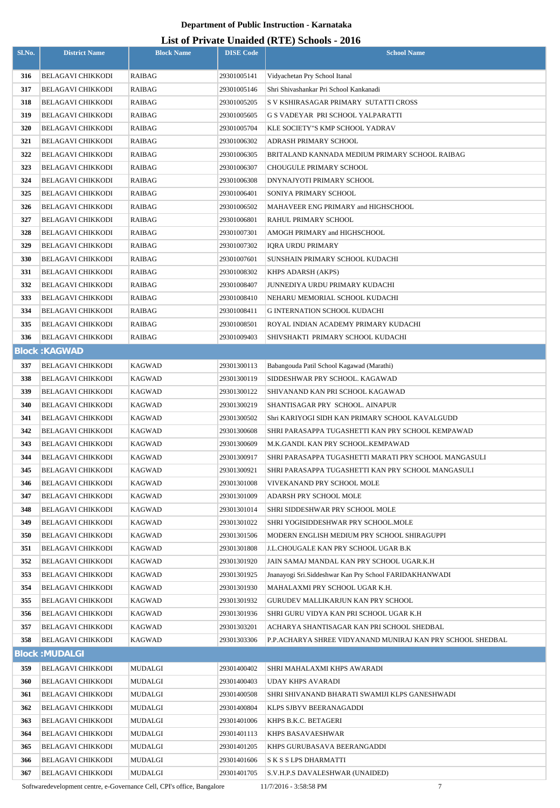## **List of Private Unaided (RTE) Schools - 2016**

|        |                                                      |                         |                            | List of Trivald Unafuld $(M12)$ behoods - 2010                                          |
|--------|------------------------------------------------------|-------------------------|----------------------------|-----------------------------------------------------------------------------------------|
| Sl.No. | <b>District Name</b>                                 | <b>Block Name</b>       | <b>DISE</b> Code           | <b>School Name</b>                                                                      |
|        |                                                      | <b>RAIBAG</b>           |                            |                                                                                         |
| 316    | <b>BELAGAVI CHIKKODI</b>                             |                         | 29301005141                | Vidyachetan Pry School Itanal                                                           |
| 317    | <b>BELAGAVI CHIKKODI</b>                             | RAIBAG                  | 29301005146                | Shri Shivashankar Pri School Kankanadi                                                  |
| 318    | <b>BELAGAVI CHIKKODI</b>                             | RAIBAG                  | 29301005205                | S V KSHIRASAGAR PRIMARY SUTATTI CROSS                                                   |
| 319    | <b>BELAGAVI CHIKKODI</b>                             | RAIBAG                  | 29301005605                | G S VADEYAR PRI SCHOOL YALPARATTI                                                       |
| 320    | <b>BELAGAVI CHIKKODI</b>                             | RAIBAG                  | 29301005704                | KLE SOCIETY"S KMP SCHOOL YADRAV                                                         |
| 321    | <b>BELAGAVI CHIKKODI</b>                             | RAIBAG                  | 29301006302                | ADRASH PRIMARY SCHOOL                                                                   |
| 322    | <b>BELAGAVI CHIKKODI</b>                             | RAIBAG                  | 29301006305                | BRITALAND KANNADA MEDIUM PRIMARY SCHOOL RAIBAG                                          |
| 323    | <b>BELAGAVI CHIKKODI</b>                             | RAIBAG                  | 29301006307                | CHOUGULE PRIMARY SCHOOL                                                                 |
| 324    | <b>BELAGAVI CHIKKODI</b>                             | RAIBAG                  | 29301006308                | DNYNAJYOTI PRIMARY SCHOOL                                                               |
| 325    | <b>BELAGAVI CHIKKODI</b>                             | RAIBAG                  | 29301006401                | SONIYA PRIMARY SCHOOL                                                                   |
| 326    | <b>BELAGAVI CHIKKODI</b>                             | RAIBAG                  | 29301006502                | MAHAVEER ENG PRIMARY and HIGHSCHOOL                                                     |
| 327    | <b>BELAGAVI CHIKKODI</b>                             | RAIBAG                  | 29301006801                | RAHUL PRIMARY SCHOOL                                                                    |
| 328    | <b>BELAGAVI CHIKKODI</b>                             | RAIBAG                  | 29301007301                | AMOGH PRIMARY and HIGHSCHOOL                                                            |
| 329    | <b>BELAGAVI CHIKKODI</b>                             | RAIBAG                  | 29301007302                | <b>IQRA URDU PRIMARY</b>                                                                |
| 330    | <b>BELAGAVI CHIKKODI</b>                             | RAIBAG                  | 29301007601                | SUNSHAIN PRIMARY SCHOOL KUDACHI                                                         |
| 331    | <b>BELAGAVI CHIKKODI</b>                             | RAIBAG                  | 29301008302                | KHPS ADARSH (AKPS)                                                                      |
| 332    | <b>BELAGAVI CHIKKODI</b>                             | RAIBAG                  | 29301008407                | JUNNEDIYA URDU PRIMARY KUDACHI                                                          |
| 333    | <b>BELAGAVI CHIKKODI</b>                             | RAIBAG                  | 29301008410                | NEHARU MEMORIAL SCHOOL KUDACHI                                                          |
| 334    | <b>BELAGAVI CHIKKODI</b>                             | RAIBAG                  | 29301008411                | <b>G INTERNATION SCHOOL KUDACHI</b>                                                     |
| 335    | <b>BELAGAVI CHIKKODI</b>                             | RAIBAG                  | 29301008501                | ROYAL INDIAN ACADEMY PRIMARY KUDACHI                                                    |
| 336    | <b>BELAGAVI CHIKKODI</b>                             | RAIBAG                  | 29301009403                | SHIVSHAKTI PRIMARY SCHOOL KUDACHI                                                       |
|        | <b>Block: KAGWAD</b>                                 |                         |                            |                                                                                         |
| 337    | <b>BELAGAVI CHIKKODI</b>                             | <b>KAGWAD</b>           | 29301300113                | Babangouda Patil School Kagawad (Marathi)                                               |
| 338    | <b>BELAGAVI CHIKKODI</b>                             | <b>KAGWAD</b>           | 29301300119                | SIDDESHWAR PRY SCHOOL. KAGAWAD                                                          |
| 339    | <b>BELAGAVI CHIKKODI</b>                             | <b>KAGWAD</b>           | 29301300122                | SHIVANAND KAN PRI SCHOOL KAGAWAD                                                        |
| 340    | <b>BELAGAVI CHIKKODI</b>                             | <b>KAGWAD</b>           | 29301300219                | SHANTISAGAR PRY SCHOOL. AINAPUR                                                         |
| 341    | <b>BELAGAVI CHIKKODI</b>                             | <b>KAGWAD</b>           | 29301300502                | Shri KARIYOGI SIDH KAN PRIMARY SCHOOL KAVALGUDD                                         |
| 342    |                                                      |                         |                            |                                                                                         |
| 343    | <b>BELAGAVI CHIKKODI</b><br><b>BELAGAVI CHIKKODI</b> | KAGWAD<br><b>KAGWAD</b> | 29301300608<br>29301300609 | SHRI PARASAPPA TUGASHETTI KAN PRY SCHOOL KEMPAWAD<br>M.K.GANDI. KAN PRY SCHOOL.KEMPAWAD |
| 344    | <b>BELAGAVI CHIKKODI</b>                             | <b>KAGWAD</b>           | 29301300917                | SHRI PARASAPPA TUGASHETTI MARATI PRY SCHOOL MANGASULI                                   |
|        |                                                      |                         |                            |                                                                                         |
| 345    | <b>BELAGAVI CHIKKODI</b><br><b>BELAGAVI CHIKKODI</b> | <b>KAGWAD</b>           | 29301300921                | SHRI PARASAPPA TUGASHETTI KAN PRY SCHOOL MANGASULI                                      |
| 346    |                                                      | <b>KAGWAD</b>           | 29301301008                | VIVEKANAND PRY SCHOOL MOLE                                                              |
| 347    | <b>BELAGAVI CHIKKODI</b>                             | <b>KAGWAD</b>           | 29301301009                | ADARSH PRY SCHOOL MOLE                                                                  |
| 348    | <b>BELAGAVI CHIKKODI</b>                             | <b>KAGWAD</b>           | 29301301014                | SHRI SIDDESHWAR PRY SCHOOL MOLE                                                         |
| 349    | <b>BELAGAVI CHIKKODI</b>                             | <b>KAGWAD</b>           | 29301301022                | SHRI YOGISIDDESHWAR PRY SCHOOL.MOLE                                                     |
| 350    | <b>BELAGAVI CHIKKODI</b>                             | <b>KAGWAD</b>           | 29301301506                | MODERN ENGLISH MEDIUM PRY SCHOOL SHIRAGUPPI                                             |
| 351    | <b>BELAGAVI CHIKKODI</b>                             | <b>KAGWAD</b>           | 29301301808                | J.L.CHOUGALE KAN PRY SCHOOL UGAR B.K                                                    |
| 352    | <b>BELAGAVI CHIKKODI</b>                             | <b>KAGWAD</b>           | 29301301920                | JAIN SAMAJ MANDAL KAN PRY SCHOOL UGAR.K.H                                               |
| 353    | <b>BELAGAVI CHIKKODI</b>                             | <b>KAGWAD</b>           | 29301301925                | Jnanayogi Sri. Siddeshwar Kan Pry School FARIDAKHANWADI                                 |
| 354    | <b>BELAGAVI CHIKKODI</b>                             | <b>KAGWAD</b>           | 29301301930                | MAHALAXMI PRY SCHOOL UGAR K.H.                                                          |
| 355    | <b>BELAGAVI CHIKKODI</b>                             | <b>KAGWAD</b>           | 29301301932                | GURUDEV MALLIKARJUN KAN PRY SCHOOL                                                      |
| 356    | <b>BELAGAVI CHIKKODI</b>                             | KAGWAD                  | 29301301936                | SHRI GURU VIDYA KAN PRI SCHOOL UGAR K.H                                                 |
| 357    | <b>BELAGAVI CHIKKODI</b>                             | <b>KAGWAD</b>           | 29301303201                | ACHARYA SHANTISAGAR KAN PRI SCHOOL SHEDBAL                                              |
| 358    | <b>BELAGAVI CHIKKODI</b>                             | <b>KAGWAD</b>           | 29301303306                | P.P.ACHARYA SHREE VIDYANAND MUNIRAJ KAN PRY SCHOOL SHEDBAL                              |
|        | <b>Block: MUDALGI</b>                                |                         |                            |                                                                                         |
| 359    | <b>BELAGAVI CHIKKODI</b>                             | <b>MUDALGI</b>          | 29301400402                | SHRI MAHALAXMI KHPS AWARADI                                                             |
| 360    | <b>BELAGAVI CHIKKODI</b>                             | <b>MUDALGI</b>          | 29301400403                | <b>UDAY KHPS AVARADI</b>                                                                |
| 361    | <b>BELAGAVI CHIKKODI</b>                             | MUDALGI                 | 29301400508                | SHRI SHIVANAND BHARATI SWAMIJI KLPS GANESHWADI                                          |
| 362    | <b>BELAGAVI CHIKKODI</b>                             | MUDALGI                 | 29301400804                | KLPS SJBYV BEERANAGADDI                                                                 |
| 363    | <b>BELAGAVI CHIKKODI</b>                             | MUDALGI                 | 29301401006                | KHPS B.K.C. BETAGERI                                                                    |
| 364    | <b>BELAGAVI CHIKKODI</b>                             | MUDALGI                 | 29301401113                | KHPS BASAVAESHWAR                                                                       |
| 365    | <b>BELAGAVI CHIKKODI</b>                             | MUDALGI                 | 29301401205                | KHPS GURUBASAVA BEERANGADDI                                                             |
| 366    | <b>BELAGAVI CHIKKODI</b>                             | MUDALGI                 | 29301401606                | S K S S LPS DHARMATTI                                                                   |
| 367    | <b>BELAGAVI CHIKKODI</b>                             | MUDALGI                 | 29301401705                | S.V.H.P.S DAVALESHWAR (UNAIDED)                                                         |
|        |                                                      |                         |                            |                                                                                         |

Softwaredevelopment centre, e-Governance Cell, CPI's office, Bangalore 11/7/2016 - 3:58:58 PM 7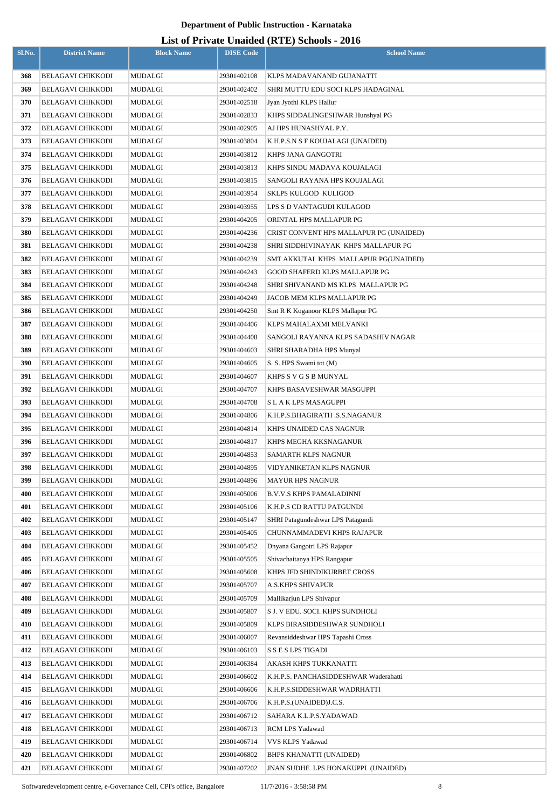| Sl.No.     | <b>District Name</b>                                 | <b>Block Name</b>  | <b>DISE Code</b>           | $\frac{1}{2}$<br><b>School Name</b>                         |
|------------|------------------------------------------------------|--------------------|----------------------------|-------------------------------------------------------------|
|            |                                                      |                    |                            | KLPS MADAVANAND GUJANATTI                                   |
| 368<br>369 | <b>BELAGAVI CHIKKODI</b>                             | MUDALGI            | 29301402108                |                                                             |
| 370        | <b>BELAGAVI CHIKKODI</b><br><b>BELAGAVI CHIKKODI</b> | MUDALGI<br>MUDALGI | 29301402402<br>29301402518 | SHRI MUTTU EDU SOCI KLPS HADAGINAL                          |
| 371        | <b>BELAGAVI CHIKKODI</b>                             | MUDALGI            | 29301402833                | Jyan Jyothi KLPS Hallur<br>KHPS SIDDALINGESHWAR Hunshyal PG |
| 372        | <b>BELAGAVI CHIKKODI</b>                             | <b>MUDALGI</b>     | 29301402905                | AJ HPS HUNASHYAL P.Y.                                       |
| 373        | <b>BELAGAVI CHIKKODI</b>                             | <b>MUDALGI</b>     | 29301403804                | K.H.P.S.N S F KOUJALAGI (UNAIDED)                           |
| 374        | <b>BELAGAVI CHIKKODI</b>                             | MUDALGI            | 29301403812                | KHPS JANA GANGOTRI                                          |
| 375        | <b>BELAGAVI CHIKKODI</b>                             | MUDALGI            | 29301403813                | KHPS SINDU MADAVA KOUJALAGI                                 |
| 376        | <b>BELAGAVI CHIKKODI</b>                             | MUDALGI            | 29301403815                | SANGOLI RAYANA HPS KOUJALAGI                                |
| 377        | <b>BELAGAVI CHIKKODI</b>                             | MUDALGI            | 29301403954                | <b>SKLPS KULGOD KULIGOD</b>                                 |
| 378        | <b>BELAGAVI CHIKKODI</b>                             | MUDALGI            | 29301403955                | LPS S D VANTAGUDI KULAGOD                                   |
| 379        | <b>BELAGAVI CHIKKODI</b>                             | MUDALGI            | 29301404205                | ORINTAL HPS MALLAPUR PG                                     |
| 380        | <b>BELAGAVI CHIKKODI</b>                             | MUDALGI            | 29301404236                | CRIST CONVENT HPS MALLAPUR PG (UNAIDED)                     |
| 381        | <b>BELAGAVI CHIKKODI</b>                             | MUDALGI            | 29301404238                | SHRI SIDDHIVINAYAK KHPS MALLAPUR PG                         |
| 382        | <b>BELAGAVI CHIKKODI</b>                             | MUDALGI            | 29301404239                | SMT AKKUTAI KHPS MALLAPUR PG(UNAIDED)                       |
| 383        | <b>BELAGAVI CHIKKODI</b>                             | MUDALGI            | 29301404243                | GOOD SHAFERD KLPS MALLAPUR PG                               |
| 384        | <b>BELAGAVI CHIKKODI</b>                             | MUDALGI            | 29301404248                | SHRI SHIVANAND MS KLPS MALLAPUR PG                          |
| 385        | <b>BELAGAVI CHIKKODI</b>                             | MUDALGI            | 29301404249                | JACOB MEM KLPS MALLAPUR PG                                  |
| 386        | <b>BELAGAVI CHIKKODI</b>                             | MUDALGI            | 29301404250                | Smt R K Koganoor KLPS Mallapur PG                           |
| 387        | <b>BELAGAVI CHIKKODI</b>                             | MUDALGI            | 29301404406                | KLPS MAHALAXMI MELVANKI                                     |
| 388        | <b>BELAGAVI CHIKKODI</b>                             | MUDALGI            | 29301404408                | SANGOLI RAYANNA KLPS SADASHIV NAGAR                         |
| 389        | <b>BELAGAVI CHIKKODI</b>                             | MUDALGI            | 29301404603                | SHRI SHARADHA HPS Munyal                                    |
| 390        | <b>BELAGAVI CHIKKODI</b>                             | MUDALGI            | 29301404605                | S. S. HPS Swami tot (M)                                     |
| 391        | BELAGAVI CHIKKODI                                    | MUDALGI            | 29301404607                | KHPS S V G S B MUNYAL                                       |
| 392        | <b>BELAGAVI CHIKKODI</b>                             | MUDALGI            | 29301404707                | KHPS BASAVESHWAR MASGUPPI                                   |
| 393        | <b>BELAGAVI CHIKKODI</b>                             | MUDALGI            | 29301404708                | S L A K LPS MASAGUPPI                                       |
| 394        | <b>BELAGAVI CHIKKODI</b>                             | MUDALGI            | 29301404806                | K.H.P.S.BHAGIRATH .S.S.NAGANUR                              |
| 395        | <b>BELAGAVI CHIKKODI</b>                             | MUDALGI            | 29301404814                | KHPS UNAIDED CAS NAGNUR                                     |
| 396        | <b>BELAGAVI CHIKKODI</b>                             | MUDALGI            | 29301404817                | KHPS MEGHA KKSNAGANUR                                       |
| 397        | <b>BELAGAVI CHIKKODI</b>                             | MUDALGI            | 29301404853                | SAMARTH KLPS NAGNUR                                         |
| 398        | <b>BELAGAVI CHIKKODI</b>                             | <b>MUDALGI</b>     | 29301404895                | VIDYANIKETAN KLPS NAGNUR                                    |
| 399        | <b>BELAGAVI CHIKKODI</b>                             | MUDALGI            | 29301404896                | <b>MAYUR HPS NAGNUR</b>                                     |
| 400        | <b>BELAGAVI CHIKKODI</b>                             | <b>MUDALGI</b>     | 29301405006                | <b>B.V.V.S KHPS PAMALADINNI</b>                             |
| 401        | <b>BELAGAVI CHIKKODI</b>                             | <b>MUDALGI</b>     | 29301405106                | K.H.P.S CD RATTU PATGUNDI                                   |
| 402        | <b>BELAGAVI CHIKKODI</b>                             | MUDALGI            | 29301405147                | SHRI Patagundeshwar LPS Patagundi                           |
| 403        | <b>BELAGAVI CHIKKODI</b>                             | <b>MUDALGI</b>     | 29301405405                | CHUNNAMMADEVI KHPS RAJAPUR                                  |
| 404        | <b>BELAGAVI CHIKKODI</b>                             | <b>MUDALGI</b>     | 29301405452                | Dnyana Gangotri LPS Rajapur                                 |
| 405        | <b>BELAGAVI CHIKKODI</b>                             | <b>MUDALGI</b>     | 29301405505                | Shivachaitanya HPS Rangapur                                 |
| 406        | <b>BELAGAVI CHIKKODI</b>                             | MUDALGI            | 29301405608                | KHPS JFD SHINDIKURBET CROSS                                 |
| 407        | <b>BELAGAVI CHIKKODI</b>                             | MUDALGI            | 29301405707                | <b>A.S.KHPS SHIVAPUR</b>                                    |
| 408        | <b>BELAGAVI CHIKKODI</b>                             | MUDALGI            | 29301405709                | Mallikarjun LPS Shivapur                                    |
| 409        | <b>BELAGAVI CHIKKODI</b>                             | MUDALGI            | 29301405807                | S J. V EDU. SOCI. KHPS SUNDHOLI                             |
| 410        | <b>BELAGAVI CHIKKODI</b>                             | MUDALGI            | 29301405809                | KLPS BIRASIDDESHWAR SUNDHOLI                                |
| 411        | <b>BELAGAVI CHIKKODI</b>                             | MUDALGI            | 29301406007                | Revansiddeshwar HPS Tapashi Cross                           |
| 412        | <b>BELAGAVI CHIKKODI</b>                             | MUDALGI            | 29301406103                | S S E S LPS TIGADI                                          |
| 413        | <b>BELAGAVI CHIKKODI</b>                             | MUDALGI            | 29301406384                | AKASH KHPS TUKKANATTI                                       |
| 414        | <b>BELAGAVI CHIKKODI</b>                             | MUDALGI            | 29301406602                | K.H.P.S. PANCHASIDDESHWAR Waderahatti                       |
| 415        | <b>BELAGAVI CHIKKODI</b>                             | MUDALGI            | 29301406606                | K.H.P.S.SIDDESHWAR WADRHATTI                                |
| 416        | <b>BELAGAVI CHIKKODI</b>                             | MUDALGI            | 29301406706                | K.H.P.S.(UNAIDED)J.C.S.                                     |
| 417        | <b>BELAGAVI CHIKKODI</b>                             | MUDALGI            | 29301406712                | SAHARA K.L.P.S.YADAWAD                                      |
| 418        | <b>BELAGAVI CHIKKODI</b>                             | <b>MUDALGI</b>     | 29301406713                | RCM LPS Yadawad                                             |
| 419<br>420 | <b>BELAGAVI CHIKKODI</b><br><b>BELAGAVI CHIKKODI</b> | MUDALGI<br>MUDALGI | 29301406714<br>29301406802 | VVS KLPS Yadawad<br>BHPS KHANATTI (UNAIDED)                 |
| 421        | <b>BELAGAVI CHIKKODI</b>                             | MUDALGI            | 29301407202                | JNAN SUDHE LPS HONAKUPPI (UNAIDED)                          |
|            |                                                      |                    |                            |                                                             |